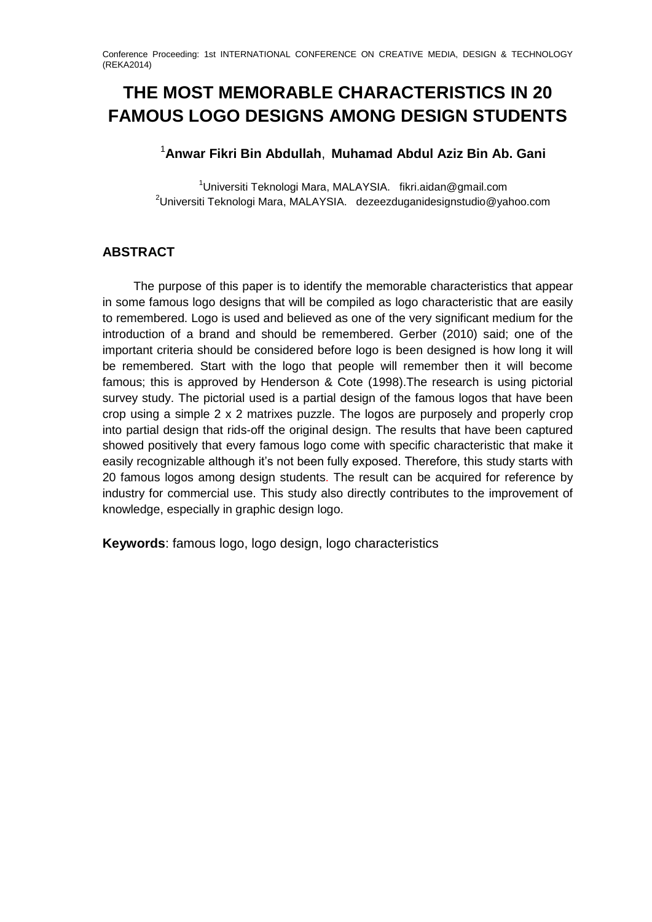# **THE MOST MEMORABLE CHARACTERISTICS IN 20 FAMOUS LOGO DESIGNS AMONG DESIGN STUDENTS**

## <sup>1</sup>**Anwar Fikri Bin Abdullah**, **Muhamad Abdul Aziz Bin Ab. Gani**

<sup>1</sup>Universiti Teknologi Mara, MALAYSIA. fikri.aidan@gmail.com  $2$ Universiti Teknologi Mara, MALAYSIA. dezeezduganidesignstudio@yahoo.com

# **ABSTRACT**

The purpose of this paper is to identify the memorable characteristics that appear in some famous logo designs that will be compiled as logo characteristic that are easily to remembered. Logo is used and believed as one of the very significant medium for the introduction of a brand and should be remembered. Gerber (2010) said; one of the important criteria should be considered before logo is been designed is how long it will be remembered. Start with the logo that people will remember then it will become famous; this is approved by Henderson & Cote (1998).The research is using pictorial survey study. The pictorial used is a partial design of the famous logos that have been crop using a simple 2 x 2 matrixes puzzle. The logos are purposely and properly crop into partial design that rids-off the original design. The results that have been captured showed positively that every famous logo come with specific characteristic that make it easily recognizable although it's not been fully exposed. Therefore, this study starts with 20 famous logos among design students. The result can be acquired for reference by industry for commercial use. This study also directly contributes to the improvement of knowledge, especially in graphic design logo.

**Keywords**: famous logo, logo design, logo characteristics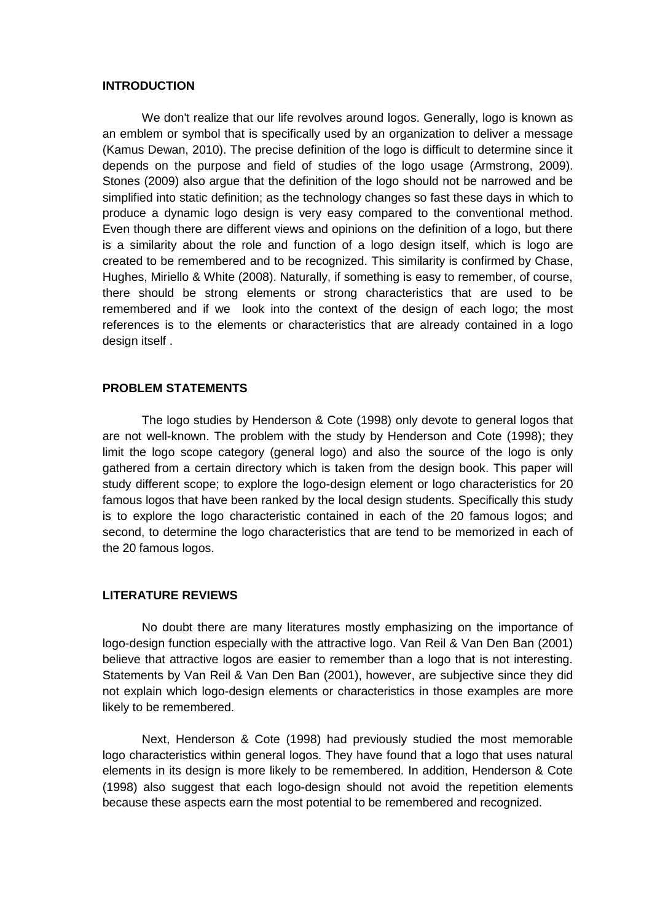### **INTRODUCTION**

We don't realize that our life revolves around logos. Generally, logo is known as an emblem or symbol that is specifically used by an organization to deliver a message (Kamus Dewan, 2010). The precise definition of the logo is difficult to determine since it depends on the purpose and field of studies of the logo usage (Armstrong, 2009). Stones (2009) also argue that the definition of the logo should not be narrowed and be simplified into static definition; as the technology changes so fast these days in which to produce a dynamic logo design is very easy compared to the conventional method. Even though there are different views and opinions on the definition of a logo, but there is a similarity about the role and function of a logo design itself, which is logo are created to be remembered and to be recognized. This similarity is confirmed by Chase, Hughes, Miriello & White (2008). Naturally, if something is easy to remember, of course, there should be strong elements or strong characteristics that are used to be remembered and if we look into the context of the design of each logo; the most references is to the elements or characteristics that are already contained in a logo design itself .

## **PROBLEM STATEMENTS**

The logo studies by Henderson & Cote (1998) only devote to general logos that are not well-known. The problem with the study by Henderson and Cote (1998); they limit the logo scope category (general logo) and also the source of the logo is only gathered from a certain directory which is taken from the design book. This paper will study different scope; to explore the logo-design element or logo characteristics for 20 famous logos that have been ranked by the local design students. Specifically this study is to explore the logo characteristic contained in each of the 20 famous logos; and second, to determine the logo characteristics that are tend to be memorized in each of the 20 famous logos.

## **LITERATURE REVIEWS**

No doubt there are many literatures mostly emphasizing on the importance of logo-design function especially with the attractive logo. Van Reil & Van Den Ban (2001) believe that attractive logos are easier to remember than a logo that is not interesting. Statements by Van Reil & Van Den Ban (2001), however, are subjective since they did not explain which logo-design elements or characteristics in those examples are more likely to be remembered.

Next, Henderson & Cote (1998) had previously studied the most memorable logo characteristics within general logos. They have found that a logo that uses natural elements in its design is more likely to be remembered. In addition, Henderson & Cote (1998) also suggest that each logo-design should not avoid the repetition elements because these aspects earn the most potential to be remembered and recognized.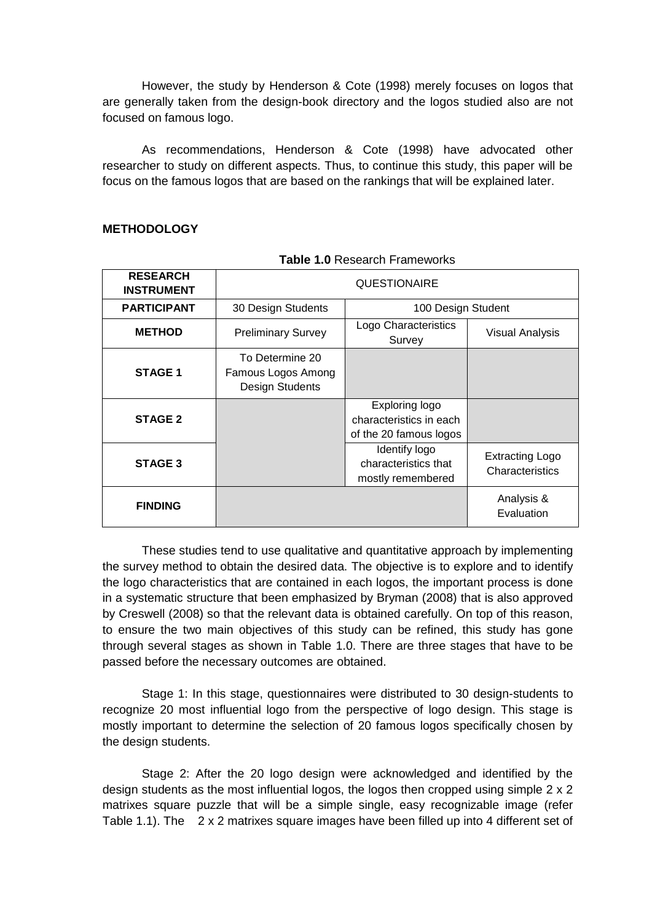However, the study by Henderson & Cote (1998) merely focuses on logos that are generally taken from the design-book directory and the logos studied also are not focused on famous logo.

As recommendations, Henderson & Cote (1998) have advocated other researcher to study on different aspects. Thus, to continue this study, this paper will be focus on the famous logos that are based on the rankings that will be explained later.

## **METHODOLOGY**

| <b>RESEARCH</b><br><b>INSTRUMENT</b> | <b>QUESTIONAIRE</b>                                      |                                                                     |                                           |  |  |  |  |
|--------------------------------------|----------------------------------------------------------|---------------------------------------------------------------------|-------------------------------------------|--|--|--|--|
| <b>PARTICIPANT</b>                   | 30 Design Students<br>100 Design Student                 |                                                                     |                                           |  |  |  |  |
| <b>METHOD</b>                        | <b>Preliminary Survey</b>                                | Logo Characteristics<br>Survey                                      | <b>Visual Analysis</b>                    |  |  |  |  |
| <b>STAGE 1</b>                       | To Determine 20<br>Famous Logos Among<br>Design Students |                                                                     |                                           |  |  |  |  |
| <b>STAGE 2</b>                       |                                                          | Exploring logo<br>characteristics in each<br>of the 20 famous logos |                                           |  |  |  |  |
| <b>STAGE 3</b>                       |                                                          | Identify logo<br>characteristics that<br>mostly remembered          | <b>Extracting Logo</b><br>Characteristics |  |  |  |  |
| <b>FINDING</b>                       |                                                          |                                                                     | Analysis &<br>Evaluation                  |  |  |  |  |

**Table 1.0** Research Frameworks

These studies tend to use qualitative and quantitative approach by implementing the survey method to obtain the desired data. The objective is to explore and to identify the logo characteristics that are contained in each logos, the important process is done in a systematic structure that been emphasized by Bryman (2008) that is also approved by Creswell (2008) so that the relevant data is obtained carefully. On top of this reason, to ensure the two main objectives of this study can be refined, this study has gone through several stages as shown in Table 1.0. There are three stages that have to be passed before the necessary outcomes are obtained.

Stage 1: In this stage, questionnaires were distributed to 30 design-students to recognize 20 most influential logo from the perspective of logo design. This stage is mostly important to determine the selection of 20 famous logos specifically chosen by the design students.

Stage 2: After the 20 logo design were acknowledged and identified by the design students as the most influential logos, the logos then cropped using simple 2 x 2 matrixes square puzzle that will be a simple single, easy recognizable image (refer Table 1.1). The 2 x 2 matrixes square images have been filled up into 4 different set of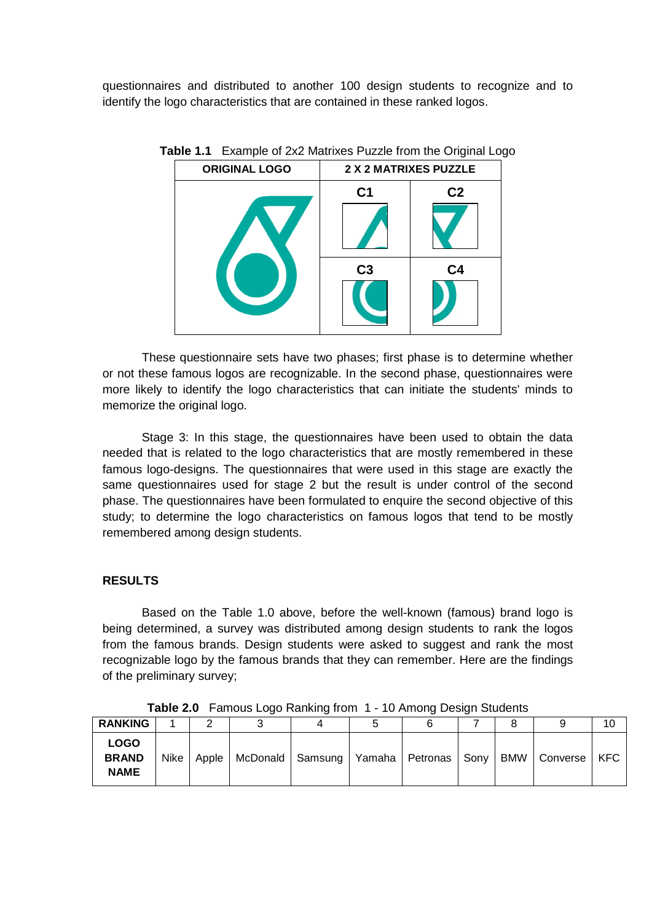questionnaires and distributed to another 100 design students to recognize and to identify the logo characteristics that are contained in these ranked logos.

| <b>ORIGINAL LOGO</b> | 2 X 2 MATRIXES PUZZLE |                |  |  |  |
|----------------------|-----------------------|----------------|--|--|--|
|                      | C <sub>1</sub>        | C <sub>2</sub> |  |  |  |
|                      | C <sub>3</sub>        | C <sub>4</sub> |  |  |  |

**Table 1.1** Example of 2x2 Matrixes Puzzle from the Original Logo

These questionnaire sets have two phases; first phase is to determine whether or not these famous logos are recognizable. In the second phase, questionnaires were more likely to identify the logo characteristics that can initiate the students' minds to memorize the original logo.

Stage 3: In this stage, the questionnaires have been used to obtain the data needed that is related to the logo characteristics that are mostly remembered in these famous logo-designs. The questionnaires that were used in this stage are exactly the same questionnaires used for stage 2 but the result is under control of the second phase. The questionnaires have been formulated to enquire the second objective of this study; to determine the logo characteristics on famous logos that tend to be mostly remembered among design students.

## **RESULTS**

Based on the Table 1.0 above, before the well-known (famous) brand logo is being determined, a survey was distributed among design students to rank the logos from the famous brands. Design students were asked to suggest and rank the most recognizable logo by the famous brands that they can remember. Here are the findings of the preliminary survey;

| <b>RANKING</b>                             |      |       |                                               |  |  |     |          | 10         |
|--------------------------------------------|------|-------|-----------------------------------------------|--|--|-----|----------|------------|
| <b>LOGO</b><br><b>BRAND</b><br><b>NAME</b> | Nike | Apple | McDonald   Samsung   Yamaha   Petronas   Sony |  |  | BMW | Converse | <b>KFC</b> |

**Table 2.0** Famous Logo Ranking from 1 - 10 Among Design Students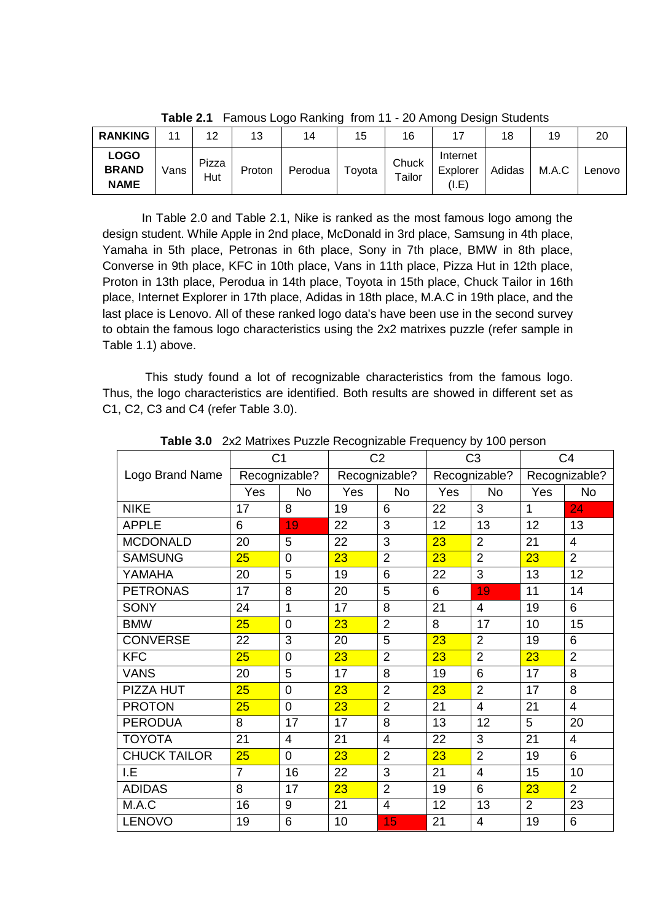| <b>RANKING</b>                             | 11   | 12           | 13     | 14      | 15     | 16              |                               | 18     | 19    | 20     |
|--------------------------------------------|------|--------------|--------|---------|--------|-----------------|-------------------------------|--------|-------|--------|
| <b>LOGO</b><br><b>BRAND</b><br><b>NAME</b> | Vans | Pizza<br>Hut | Proton | Perodua | Toyota | Chuck<br>Tailor | Internet<br>Explorer<br>(I.E) | Adidas | M.A.C | Lenovo |

**Table 2.1** Famous Logo Ranking from 11 - 20 Among Design Students

In Table 2.0 and Table 2.1, Nike is ranked as the most famous logo among the design student. While Apple in 2nd place, McDonald in 3rd place, Samsung in 4th place, Yamaha in 5th place, Petronas in 6th place, Sony in 7th place, BMW in 8th place, Converse in 9th place, KFC in 10th place, Vans in 11th place, Pizza Hut in 12th place, Proton in 13th place, Perodua in 14th place, Toyota in 15th place, Chuck Tailor in 16th place, Internet Explorer in 17th place, Adidas in 18th place, M.A.C in 19th place, and the last place is Lenovo. All of these ranked logo data's have been use in the second survey to obtain the famous logo characteristics using the 2x2 matrixes puzzle (refer sample in Table 1.1) above.

This study found a lot of recognizable characteristics from the famous logo. Thus, the logo characteristics are identified. Both results are showed in different set as C1, C2, C3 and C4 (refer Table 3.0).

|                     | C <sub>1</sub> |                | C <sub>2</sub> |                | C <sub>3</sub> |                | C <sub>4</sub> |                |
|---------------------|----------------|----------------|----------------|----------------|----------------|----------------|----------------|----------------|
| Logo Brand Name     | Recognizable?  |                | Recognizable?  |                | Recognizable?  |                | Recognizable?  |                |
|                     | Yes            | No             | Yes            | <b>No</b>      | Yes            | <b>No</b>      | Yes            | <b>No</b>      |
| <b>NIKE</b>         | 17             | 8              | 19             | 6              | 22             | 3              | 1              | 24             |
| <b>APPLE</b>        | 6              | 19             | 22             | 3              | 12             | 13             | 12             | 13             |
| <b>MCDONALD</b>     | 20             | 5              | 22             | 3              | 23             | $\overline{2}$ | 21             | $\overline{4}$ |
| <b>SAMSUNG</b>      | 25             | 0              | 23             | $\overline{2}$ | 23             | $\overline{2}$ | 23             | $\overline{2}$ |
| YAMAHA              | 20             | 5              | 19             | 6              | 22             | 3              | 13             | 12             |
| <b>PETRONAS</b>     | 17             | 8              | 20             | 5              | 6              | 19             | 11             | 14             |
| <b>SONY</b>         | 24             | $\mathbf{1}$   | 17             | 8              | 21             | $\overline{4}$ | 19             | 6              |
| <b>BMW</b>          | 25             | $\overline{0}$ | 23             | $\overline{2}$ | 8              | 17             | 10             | 15             |
| <b>CONVERSE</b>     | 22             | 3              | 20             | 5              | 23             | $\overline{2}$ | 19             | 6              |
| <b>KFC</b>          | 25             | 0              | 23             | $\overline{2}$ | 23             | $\overline{2}$ | 23             | $\overline{2}$ |
| <b>VANS</b>         | 20             | 5              | 17             | 8              | 19             | 6              | 17             | 8              |
| PIZZA HUT           | 25             | $\overline{0}$ | 23             | $\overline{2}$ | 23             | $\overline{2}$ | 17             | 8              |
| <b>PROTON</b>       | 25             | $\overline{0}$ | 23             | $\overline{2}$ | 21             | $\overline{4}$ | 21             | $\overline{4}$ |
| <b>PERODUA</b>      | 8              | 17             | 17             | 8              | 13             | 12             | 5              | 20             |
| <b>TOYOTA</b>       | 21             | 4              | 21             | 4              | 22             | 3              | 21             | 4              |
| <b>CHUCK TAILOR</b> | 25             | $\overline{0}$ | 23             | $\overline{2}$ | 23             | $\overline{2}$ | 19             | 6              |
| I.E                 | $\overline{7}$ | 16             | 22             | 3              | 21             | $\overline{4}$ | 15             | 10             |
| <b>ADIDAS</b>       | 8              | 17             | 23             | $\overline{2}$ | 19             | 6              | 23             | $\overline{2}$ |
| M.A.C               | 16             | 9              | 21             | $\overline{4}$ | 12             | 13             | 2              | 23             |
| <b>LENOVO</b>       | 19             | 6              | 10             | 15             | 21             | $\overline{4}$ | 19             | 6              |

**Table 3.0** 2x2 Matrixes Puzzle Recognizable Frequency by 100 person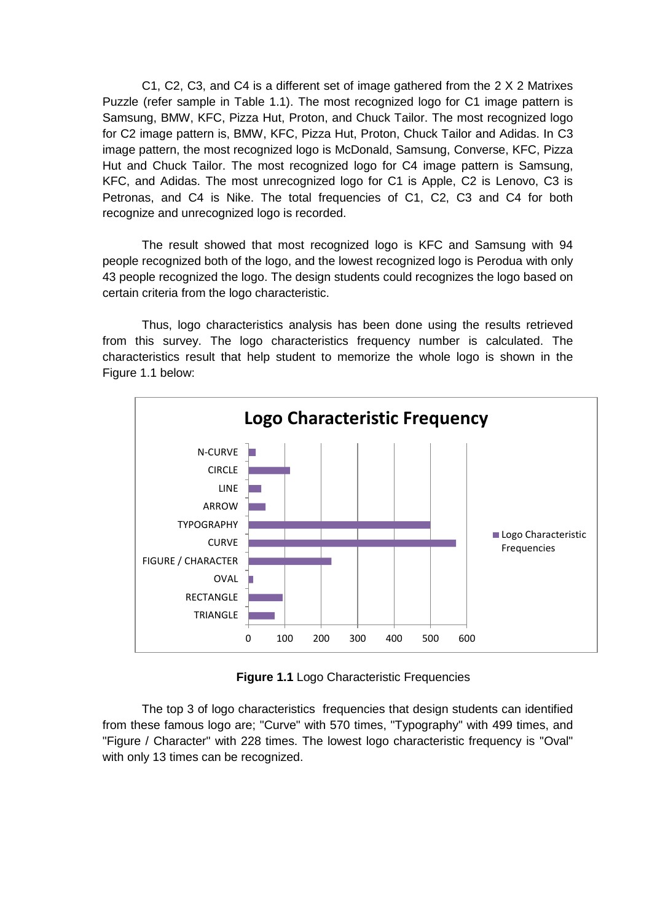C1, C2, C3, and C4 is a different set of image gathered from the 2 X 2 Matrixes Puzzle (refer sample in Table 1.1). The most recognized logo for C1 image pattern is Samsung, BMW, KFC, Pizza Hut, Proton, and Chuck Tailor. The most recognized logo for C2 image pattern is, BMW, KFC, Pizza Hut, Proton, Chuck Tailor and Adidas. In C3 image pattern, the most recognized logo is McDonald, Samsung, Converse, KFC, Pizza Hut and Chuck Tailor. The most recognized logo for C4 image pattern is Samsung, KFC, and Adidas. The most unrecognized logo for C1 is Apple, C2 is Lenovo, C3 is Petronas, and C4 is Nike. The total frequencies of C1, C2, C3 and C4 for both recognize and unrecognized logo is recorded.

The result showed that most recognized logo is KFC and Samsung with 94 people recognized both of the logo, and the lowest recognized logo is Perodua with only 43 people recognized the logo. The design students could recognizes the logo based on certain criteria from the logo characteristic.

Thus, logo characteristics analysis has been done using the results retrieved from this survey. The logo characteristics frequency number is calculated. The characteristics result that help student to memorize the whole logo is shown in the Figure 1.1 below:



**Figure 1.1** Logo Characteristic Frequencies

The top 3 of logo characteristics frequencies that design students can identified from these famous logo are; "Curve" with 570 times, "Typography" with 499 times, and "Figure / Character" with 228 times. The lowest logo characteristic frequency is "Oval" with only 13 times can be recognized.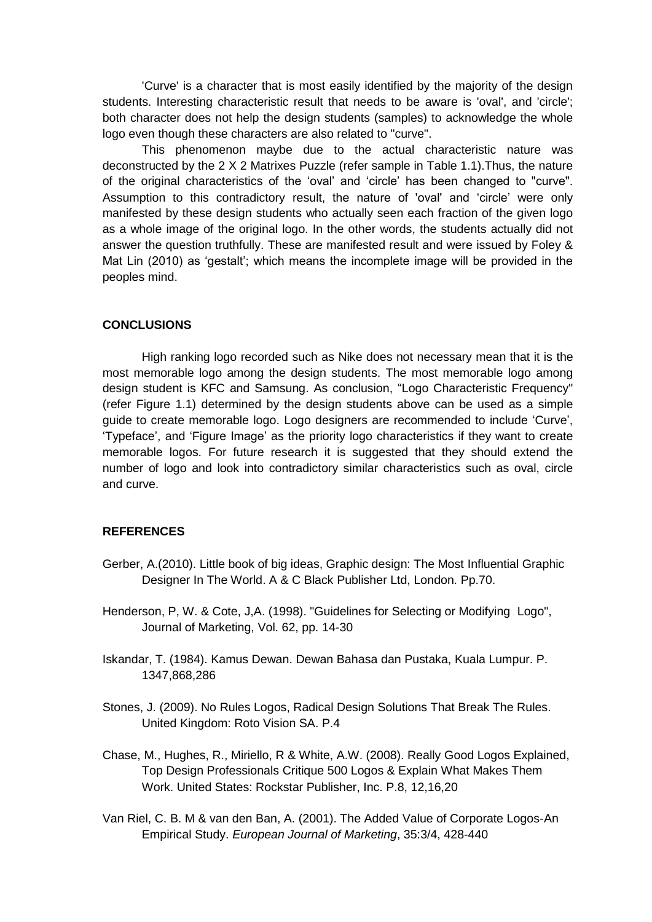'Curve' is a character that is most easily identified by the majority of the design students. Interesting characteristic result that needs to be aware is 'oval', and 'circle'; both character does not help the design students (samples) to acknowledge the whole logo even though these characters are also related to "curve".

This phenomenon maybe due to the actual characteristic nature was deconstructed by the 2 X 2 Matrixes Puzzle (refer sample in Table 1.1).Thus, the nature of the original characteristics of the 'oval' and 'circle' has been changed to "curve". Assumption to this contradictory result, the nature of 'oval' and 'circle' were only manifested by these design students who actually seen each fraction of the given logo as a whole image of the original logo. In the other words, the students actually did not answer the question truthfully. These are manifested result and were issued by Foley & Mat Lin (2010) as 'gestalt'; which means the incomplete image will be provided in the peoples mind.

## **CONCLUSIONS**

High ranking logo recorded such as Nike does not necessary mean that it is the most memorable logo among the design students. The most memorable logo among design student is KFC and Samsung. As conclusion, "Logo Characteristic Frequency" (refer Figure 1.1) determined by the design students above can be used as a simple guide to create memorable logo. Logo designers are recommended to include 'Curve', 'Typeface', and 'Figure Image' as the priority logo characteristics if they want to create memorable logos. For future research it is suggested that they should extend the number of logo and look into contradictory similar characteristics such as oval, circle and curve.

#### **REFERENCES**

- Gerber, A.(2010). Little book of big ideas, Graphic design: The Most Influential Graphic Designer In The World. A & C Black Publisher Ltd, London. Pp.70.
- Henderson, P, W. & Cote, J,A. (1998). "Guidelines for Selecting or Modifying Logo", Journal of Marketing, Vol. 62, pp. 14-30
- Iskandar, T. (1984). Kamus Dewan. Dewan Bahasa dan Pustaka, Kuala Lumpur. P. 1347,868,286
- Stones, J. (2009). No Rules Logos, Radical Design Solutions That Break The Rules. United Kingdom: Roto Vision SA. P.4
- Chase, M., Hughes, R., Miriello, R & White, A.W. (2008). Really Good Logos Explained, Top Design Professionals Critique 500 Logos & Explain What Makes Them Work. United States: Rockstar Publisher, Inc. P.8, 12,16,20
- Van Riel, C. B. M & van den Ban, A. (2001). The Added Value of Corporate Logos-An Empirical Study. *European Journal of Marketing*, 35:3/4, 428-440